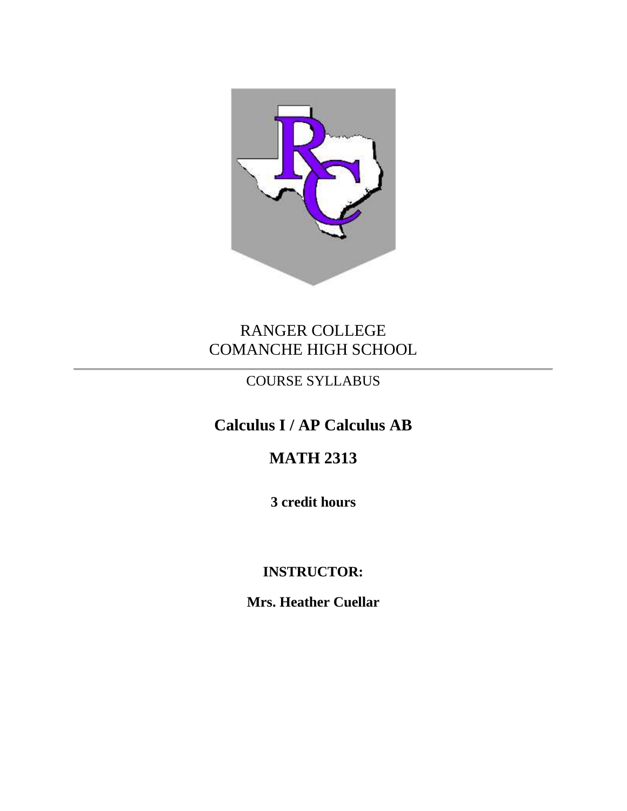

# RANGER COLLEGE COMANCHE HIGH SCHOOL

## COURSE SYLLABUS

# **Calculus I / AP Calculus AB**

## **MATH 2313**

**3 credit hours**

## **INSTRUCTOR:**

**Mrs. Heather Cuellar**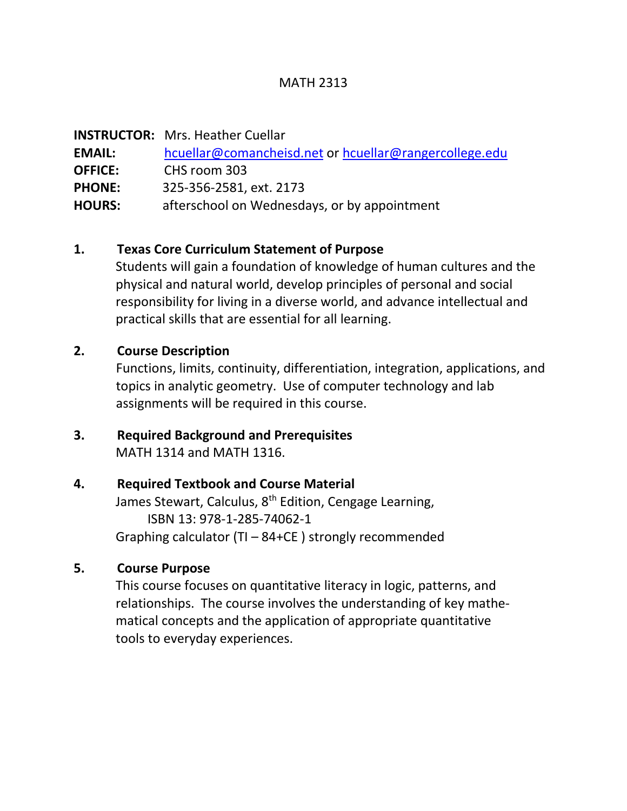#### MATH 2313

|                | <b>INSTRUCTOR:</b> Mrs. Heather Cuellar                |
|----------------|--------------------------------------------------------|
| <b>EMAIL:</b>  | hcuellar@comancheisd.net or hcuellar@rangercollege.edu |
| <b>OFFICE:</b> | CHS room 303                                           |
| <b>PHONE:</b>  | 325-356-2581, ext. 2173                                |
| <b>HOURS:</b>  | afterschool on Wednesdays, or by appointment           |

#### **1. Texas Core Curriculum Statement of Purpose**

Students will gain a foundation of knowledge of human cultures and the physical and natural world, develop principles of personal and social responsibility for living in a diverse world, and advance intellectual and practical skills that are essential for all learning.

#### **2. Course Description**

Functions, limits, continuity, differentiation, integration, applications, and topics in analytic geometry. Use of computer technology and lab assignments will be required in this course.

#### **3. Required Background and Prerequisites** MATH 1314 and MATH 1316.

#### **4. Required Textbook and Course Material**

James Stewart, Calculus, 8<sup>th</sup> Edition, Cengage Learning, ISBN 13: 978-1-285-74062-1 Graphing calculator (TI – 84+CE ) strongly recommended

#### **5. Course Purpose**

This course focuses on quantitative literacy in logic, patterns, and relationships. The course involves the understanding of key mathe matical concepts and the application of appropriate quantitative tools to everyday experiences.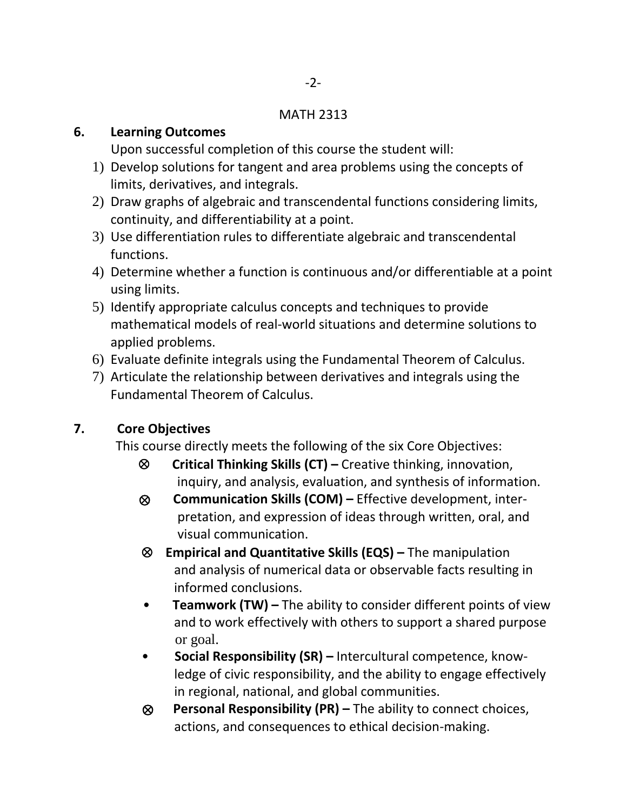#### MATH 2313

#### **6. Learning Outcomes**

Upon successful completion of this course the student will:

- 1) Develop solutions for tangent and area problems using the concepts of limits, derivatives, and integrals.
- 2) Draw graphs of algebraic and transcendental functions considering limits, continuity, and differentiability at a point.
- 3) Use differentiation rules to differentiate algebraic and transcendental functions.
- 4) Determine whether a function is continuous and/or differentiable at a point using limits.
- 5) Identify appropriate calculus concepts and techniques to provide mathematical models of real-world situations and determine solutions to applied problems.
- 6) Evaluate definite integrals using the Fundamental Theorem of Calculus.
- 7) Articulate the relationship between derivatives and integrals using the Fundamental Theorem of Calculus.

### **7. Core Objectives**

This course directly meets the following of the six Core Objectives:

- **Critical Thinking Skills (CT) –** Creative thinking, innovation, inquiry, and analysis, evaluation, and synthesis of information.
- ⊗ **Communication Skills (COM) –** Effective development, inter pretation, and expression of ideas through written, oral, and visual communication.
- **Empirical and Quantitative Skills (EQS) –** The manipulation and analysis of numerical data or observable facts resulting in informed conclusions.
- **Teamwork (TW) –** The ability to consider different points of view and to work effectively with others to support a shared purpose or goal.
- **Social Responsibility (SR) –** Intercultural competence, know ledge of civic responsibility, and the ability to engage effectively in regional, national, and global communities.
- ⊗ **Personal Responsibility (PR) –** The ability to connect choices, actions, and consequences to ethical decision-making.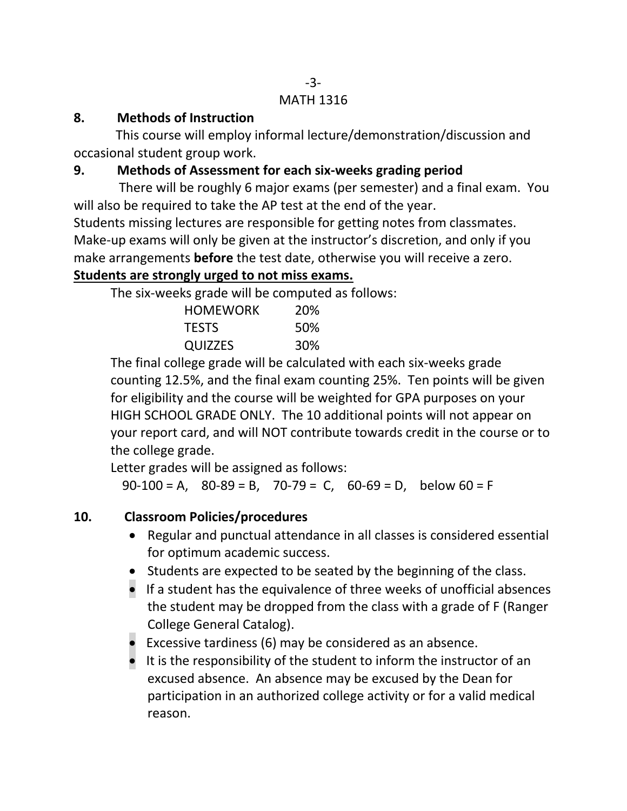#### -3- MATH 1316

### **8. Methods of Instruction**

This course will employ informal lecture/demonstration/discussion and occasional student group work.

## **9. Methods of Assessment for each six-weeks grading period**

There will be roughly 6 major exams (per semester) and a final exam. You will also be required to take the AP test at the end of the year.

Students missing lectures are responsible for getting notes from classmates. Make-up exams will only be given at the instructor's discretion, and only if you make arrangements **before** the test date, otherwise you will receive a zero. **Students are strongly urged to not miss exams.**

The six-weeks grade will be computed as follows:

| <b>HOMEWORK</b> | 20% |
|-----------------|-----|
| <b>TESTS</b>    | 50% |
| QUIZZES         | 30% |

The final college grade will be calculated with each six-weeks grade counting 12.5%, and the final exam counting 25%. Ten points will be given for eligibility and the course will be weighted for GPA purposes on your HIGH SCHOOL GRADE ONLY. The 10 additional points will not appear on your report card, and will NOT contribute towards credit in the course or to the college grade.

Letter grades will be assigned as follows:

 $90-100 = A$ ,  $80-89 = B$ ,  $70-79 = C$ ,  $60-69 = D$ , below  $60 = F$ 

## **10. Classroom Policies/procedures**

- Regular and punctual attendance in all classes is considered essential for optimum academic success.
- Students are expected to be seated by the beginning of the class.
- If a student has the equivalence of three weeks of unofficial absences the student may be dropped from the class with a grade of F (Ranger College General Catalog).
- Excessive tardiness (6) may be considered as an absence.
- It is the responsibility of the student to inform the instructor of an excused absence. An absence may be excused by the Dean for participation in an authorized college activity or for a valid medical reason.